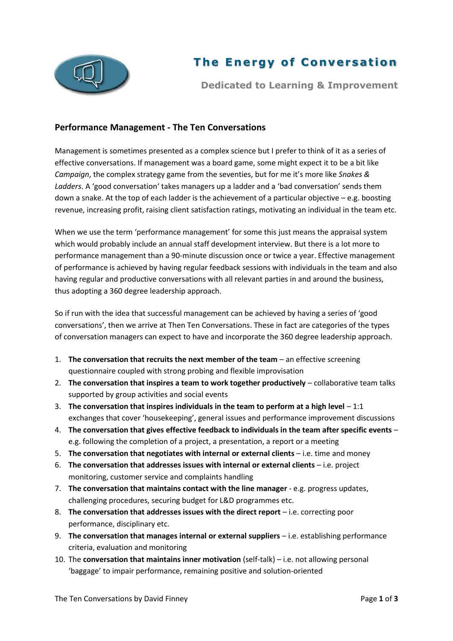

## **The Energy of Conversation**

**Dedicated to Learning & Improvement**

## **Performance Management - The Ten Conversations**

Management is sometimes presented as a complex science but I prefer to think of it as a series of effective conversations. If management was a board game, some might expect it to be a bit like *Campaign*, the complex strategy game from the seventies, but for me it's more like *Snakes & Ladders*. A 'good conversation' takes managers up a ladder and a 'bad conversation' sends them down a snake. At the top of each ladder is the achievement of a particular objective – e.g. boosting revenue, increasing profit, raising client satisfaction ratings, motivating an individual in the team etc.

When we use the term 'performance management' for some this just means the appraisal system which would probably include an annual staff development interview. But there is a lot more to performance management than a 90-minute discussion once or twice a year. Effective management of performance is achieved by having regular feedback sessions with individuals in the team and also having regular and productive conversations with all relevant parties in and around the business, thus adopting a 360 degree leadership approach.

So if run with the idea that successful management can be achieved by having a series of 'good conversations', then we arrive at Then Ten Conversations. These in fact are categories of the types of conversation managers can expect to have and incorporate the 360 degree leadership approach.

- 1. **The conversation that recruits the next member of the team** an effective screening questionnaire coupled with strong probing and flexible improvisation
- 2. **The conversation that inspires a team to work together productively** collaborative team talks supported by group activities and social events
- 3. **The conversation that inspires individuals in the team to perform at a high level** 1:1 exchanges that cover 'housekeeping', general issues and performance improvement discussions
- 4. **The conversation that gives effective feedback to individuals in the team after specific events** e.g. following the completion of a project, a presentation, a report or a meeting
- 5. **The conversation that negotiates with internal or external clients** i.e. time and money
- 6. **The conversation that addresses issues with internal or external clients** i.e. project monitoring, customer service and complaints handling
- 7. **The conversation that maintains contact with the line manager** e.g. progress updates, challenging procedures, securing budget for L&D programmes etc.
- 8. **The conversation that addresses issues with the direct report** i.e. correcting poor performance, disciplinary etc.
- 9. **The conversation that manages internal or external suppliers** i.e. establishing performance criteria, evaluation and monitoring
- 10. The **conversation that maintains inner motivation** (self-talk) i.e. not allowing personal 'baggage' to impair performance, remaining positive and solution-oriented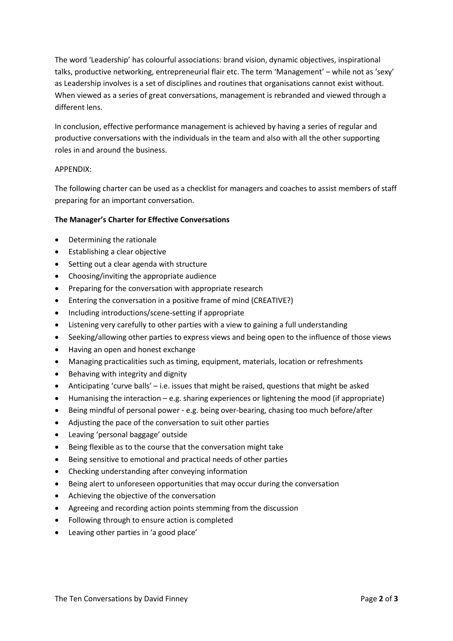The word 'Leadership' has colourful associations: brand vision, dynamic objectives, inspirational talks, productive networking, entrepreneurial flair etc. The term 'Management' – while not as 'sexy' as Leadership involves is a set of disciplines and routines that organisations cannot exist without. When viewed as a series of great conversations, management is rebranded and viewed through a different lens.

In conclusion, effective performance management is achieved by having a series of regular and productive conversations with the individuals in the team and also with all the other supporting roles in and around the business.

## APPENDIX:

The following charter can be used as a checklist for managers and coaches to assist members of staff preparing for an important conversation.

## **The Manager's Charter for Effective Conversations**

- Determining the rationale
- Establishing a clear objective
- Setting out a clear agenda with structure
- Choosing/inviting the appropriate audience
- Preparing for the conversation with appropriate research
- Entering the conversation in a positive frame of mind (CREATIVE?)
- Including introductions/scene-setting if appropriate
- Listening very carefully to other parties with a view to gaining a full understanding
- Seeking/allowing other parties to express views and being open to the influence of those views
- Having an open and honest exchange
- Managing practicalities such as timing, equipment, materials, location or refreshments
- Behaving with integrity and dignity
- Anticipating 'curve balls' i.e. issues that might be raised, questions that might be asked
- $\bullet$  Humanising the interaction e.g. sharing experiences or lightening the mood (if appropriate)
- Being mindful of personal power e.g. being over-bearing, chasing too much before/after
- Adjusting the pace of the conversation to suit other parties
- Leaving 'personal baggage' outside
- Being flexible as to the course that the conversation might take
- Being sensitive to emotional and practical needs of other parties
- Checking understanding after conveying information
- Being alert to unforeseen opportunities that may occur during the conversation
- Achieving the objective of the conversation
- Agreeing and recording action points stemming from the discussion
- Following through to ensure action is completed
- Leaving other parties in 'a good place'